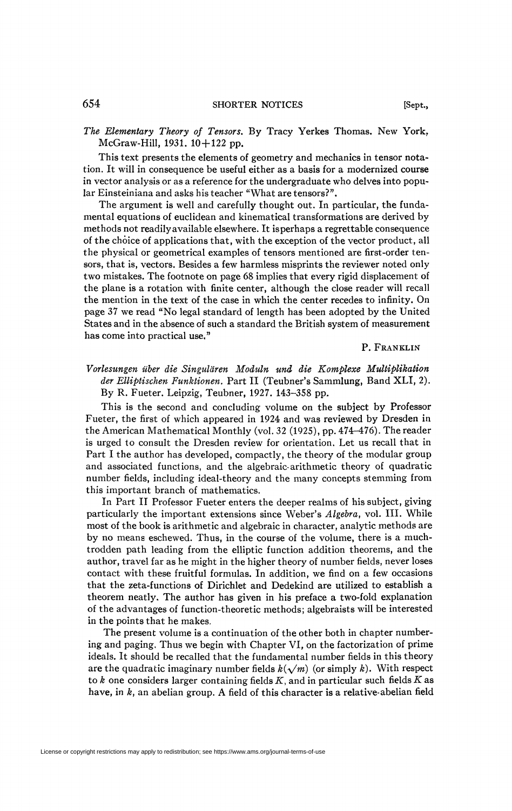*The Elementary Theory of Tensors.* By Tracy Yerkes Thomas. New York, McGraw-Hill, 1931. 10+122 pp.

This text presents the elements of geometry and mechanics in tensor notation. It will in consequence be useful either as a basis for a modernized course in vector analysis or as a reference for the undergraduate who delves into popular Einsteiniana and asks his teacher "What are tensors?".

The argument is well and carefully thought out. In particular, the fundamental equations of euclidean and kinematical transformations are derived by methods not readily available elsewhere. It is perhaps a regrettable consequence of the choice of applications that, with the exception of the vector product, all the physical or geometrical examples of tensors mentioned are first-order tensors, that is, vectors. Besides a few harmless misprints the reviewer noted only two mistakes. The footnote on page 68 implies that every rigid displacement of the plane is a rotation with finite center, although the close reader will recall the mention in the text of the case in which the center recedes to infinity. On page 37 we read "No legal standard of length has been adopted by the United States and in the absence of such a standard the British system of measurement has come into practical use,"

## P. FRANKLIN

*Vorlesungen über die Singuldren Moduln una die Komplexe Multiplihation der Elliptischen Funktionen.* Part II (Teubner's Sammlung, Band XLI, 2). By R. Fueter. Leipzig, Teubner, 1927. 143-358 pp.

This is the second and concluding volume on the subject by Professor Fueter, the first of which appeared in 1924 and was reviewed by Dresden in the American Mathematical Monthly (vol. 32 (1925), pp. 474-476). The reader is urged to consult the Dresden review for orientation. Let us recall that in Part I the author has developed, compactly, the theory of the modular group and associated functions, and the algebraic-arithmetic theory of quadratic number fields, including ideal-theory and the many concepts stemming from this important branch of mathematics.

In Part II Professor Fueter enters the deeper realms of his subject, giving particularly the important extensions since Weber's *Algebra,* vol. III. While most of the book is arithmetic and algebraic in character, analytic methods are by no means eschewed. Thus, in the course of the volume, there is a muchtrodden path leading from the elliptic function addition theorems, and the author, travel far as he might in the higher theory of number fields, never loses contact with these fruitful formulas. In addition, we find on a few occasions that the zeta-functions of Dirichlet and Dedekind are utilized to establish a theorem neatly. The author has given in his preface a two-fold explanation of the advantages of function-theoretic methods; algebraists will be interested in the points that he makes.

The present volume is a continuation of the other both in chapter numbering and paging. Thus we begin with Chapter VI, on the factorization of prime ideals. It should be recalled that the fundamental number fields in this theory are the quadratic imaginary number fields  $k(\sqrt{m})$  (or simply k). With respect to *k* one considers larger containing fields *K,* and in particular such fields *K* as have, in *k,* an abelian group. A field of this character is a relative-abelian field